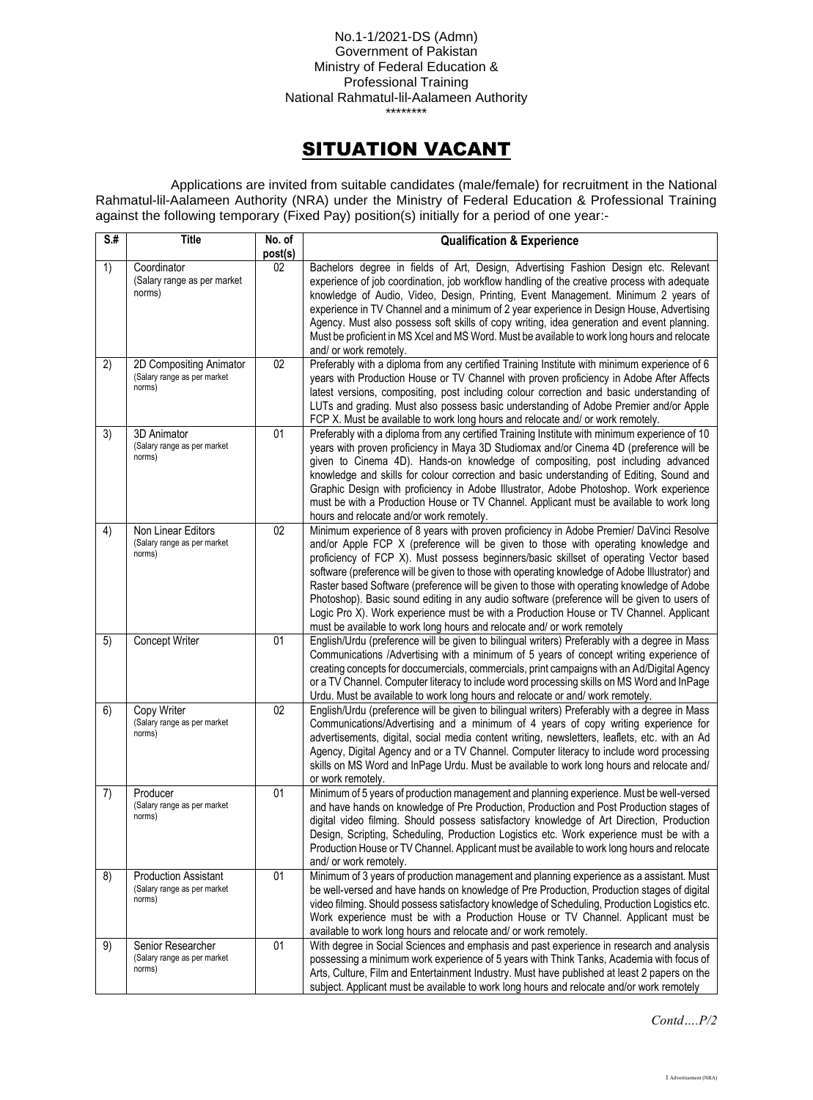No.1-1/2021-DS (Admn) Government of Pakistan Ministry of Federal Education & Professional Training National Rahmatul-lil-Aalameen Authority \*\*\*\*\*\*\*\*

## SITUATION VACANT

Applications are invited from suitable candidates (male/female) for recruitment in the National Rahmatul-lil-Aalameen Authority (NRA) under the Ministry of Federal Education & Professional Training against the following temporary (Fixed Pay) position(s) initially for a period of one year:-

| $\overline{\mathsf{S} \cdot \mathsf{H}}$ | <b>Title</b>                                                         | $\overline{N}$ o. of<br>post(s) | <b>Qualification &amp; Experience</b>                                                                                                                                                                                                                                                                                                                                                                                                                                                                                                                                                                                                                                                                                                       |
|------------------------------------------|----------------------------------------------------------------------|---------------------------------|---------------------------------------------------------------------------------------------------------------------------------------------------------------------------------------------------------------------------------------------------------------------------------------------------------------------------------------------------------------------------------------------------------------------------------------------------------------------------------------------------------------------------------------------------------------------------------------------------------------------------------------------------------------------------------------------------------------------------------------------|
| 1)                                       | Coordinator<br>(Salary range as per market<br>norms)                 | 02                              | Bachelors degree in fields of Art, Design, Advertising Fashion Design etc. Relevant<br>experience of job coordination, job workflow handling of the creative process with adequate<br>knowledge of Audio, Video, Design, Printing, Event Management. Minimum 2 years of<br>experience in TV Channel and a minimum of 2 year experience in Design House, Advertising<br>Agency. Must also possess soft skills of copy writing, idea generation and event planning.<br>Must be proficient in MS Xcel and MS Word. Must be available to work long hours and relocate<br>and/ or work remotely.                                                                                                                                                 |
| 2)                                       | 2D Compositing Animator<br>(Salary range as per market<br>norms)     | 02                              | Preferably with a diploma from any certified Training Institute with minimum experience of 6<br>years with Production House or TV Channel with proven proficiency in Adobe After Affects<br>latest versions, compositing, post including colour correction and basic understanding of<br>LUTs and grading. Must also possess basic understanding of Adobe Premier and/or Apple<br>FCP X. Must be available to work long hours and relocate and/ or work remotely.                                                                                                                                                                                                                                                                           |
| 3)                                       | 3D Animator<br>(Salary range as per market<br>norms)                 | 01                              | Preferably with a diploma from any certified Training Institute with minimum experience of 10<br>years with proven proficiency in Maya 3D Studiomax and/or Cinema 4D (preference will be<br>given to Cinema 4D). Hands-on knowledge of compositing, post including advanced<br>knowledge and skills for colour correction and basic understanding of Editing, Sound and<br>Graphic Design with proficiency in Adobe Illustrator, Adobe Photoshop. Work experience<br>must be with a Production House or TV Channel. Applicant must be available to work long<br>hours and relocate and/or work remotely.                                                                                                                                    |
| 4)                                       | Non Linear Editors<br>(Salary range as per market<br>norms)          | 02                              | Minimum experience of 8 years with proven proficiency in Adobe Premier/ DaVinci Resolve<br>and/or Apple FCP X (preference will be given to those with operating knowledge and<br>proficiency of FCP X). Must possess beginners/basic skillset of operating Vector based<br>software (preference will be given to those with operating knowledge of Adobe Illustrator) and<br>Raster based Software (preference will be given to those with operating knowledge of Adobe<br>Photoshop). Basic sound editing in any audio software (preference will be given to users of<br>Logic Pro X). Work experience must be with a Production House or TV Channel. Applicant<br>must be available to work long hours and relocate and/ or work remotely |
| 5)                                       | Concept Writer                                                       | 01                              | English/Urdu (preference will be given to bilingual writers) Preferably with a degree in Mass<br>Communications /Advertising with a minimum of 5 years of concept writing experience of<br>creating concepts for doccumercials, commercials, print campaigns with an Ad/Digital Agency<br>or a TV Channel. Computer literacy to include word processing skills on MS Word and InPage<br>Urdu. Must be available to work long hours and relocate or and/ work remotely.                                                                                                                                                                                                                                                                      |
| 6)                                       | Copy Writer<br>(Salary range as per market<br>norms)                 | 02                              | English/Urdu (preference will be given to bilingual writers) Preferably with a degree in Mass<br>Communications/Advertising and a minimum of 4 years of copy writing experience for<br>advertisements, digital, social media content writing, newsletters, leaflets, etc. with an Ad<br>Agency, Digital Agency and or a TV Channel. Computer literacy to include word processing<br>skills on MS Word and InPage Urdu. Must be available to work long hours and relocate and/<br>or work remotely.                                                                                                                                                                                                                                          |
| 7)                                       | Producer<br>(Salary range as per market<br>norms)                    | 01                              | Minimum of 5 years of production management and planning experience. Must be well-versed<br>and have hands on knowledge of Pre Production, Production and Post Production stages of<br>digital video filming. Should possess satisfactory knowledge of Art Direction, Production<br>Design, Scripting, Scheduling, Production Logistics etc. Work experience must be with a<br>Production House or TV Channel. Applicant must be available to work long hours and relocate<br>and/ or work remotely.                                                                                                                                                                                                                                        |
| 8)                                       | <b>Production Assistant</b><br>(Salary range as per market<br>norms) | 01                              | Minimum of 3 years of production management and planning experience as a assistant. Must<br>be well-versed and have hands on knowledge of Pre Production, Production stages of digital<br>video filming. Should possess satisfactory knowledge of Scheduling, Production Logistics etc.<br>Work experience must be with a Production House or TV Channel. Applicant must be<br>available to work long hours and relocate and/ or work remotely.                                                                                                                                                                                                                                                                                             |
| 9)                                       | Senior Researcher<br>(Salary range as per market<br>norms)           | 01                              | With degree in Social Sciences and emphasis and past experience in research and analysis<br>possessing a minimum work experience of 5 years with Think Tanks, Academia with focus of<br>Arts, Culture, Film and Entertainment Industry. Must have published at least 2 papers on the<br>subject. Applicant must be available to work long hours and relocate and/or work remotely                                                                                                                                                                                                                                                                                                                                                           |

*Contd….P/2*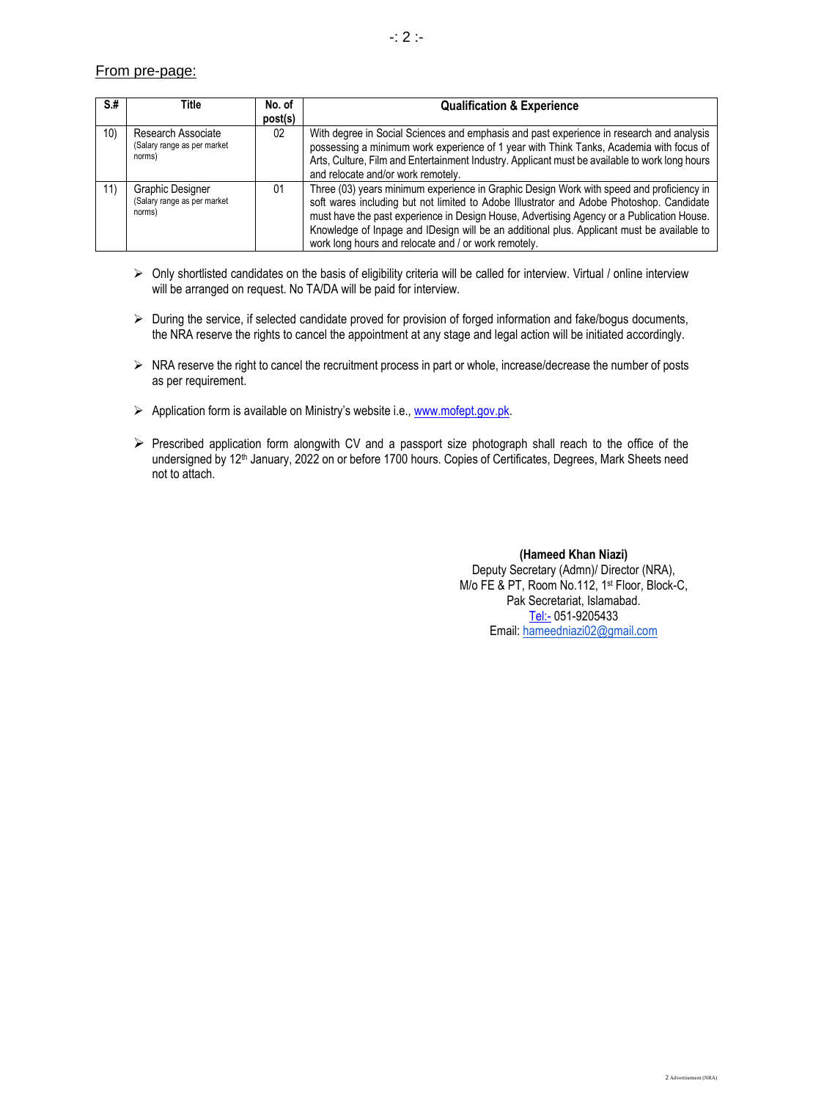## From pre-page:

| S.#             | Title                                                       | No. of  | <b>Qualification &amp; Experience</b>                                                                                                                                                                                                                                                                                                                                                                                                   |
|-----------------|-------------------------------------------------------------|---------|-----------------------------------------------------------------------------------------------------------------------------------------------------------------------------------------------------------------------------------------------------------------------------------------------------------------------------------------------------------------------------------------------------------------------------------------|
|                 |                                                             | post(s) |                                                                                                                                                                                                                                                                                                                                                                                                                                         |
| 10 <sub>1</sub> | Research Associate<br>(Salary range as per market<br>norms) | 02      | With degree in Social Sciences and emphasis and past experience in research and analysis<br>possessing a minimum work experience of 1 year with Think Tanks, Academia with focus of<br>Arts, Culture, Film and Entertainment Industry. Applicant must be available to work long hours<br>and relocate and/or work remotely.                                                                                                             |
| 11)             | Graphic Designer<br>(Salary range as per market<br>norms)   | 01      | Three (03) years minimum experience in Graphic Design Work with speed and proficiency in<br>soft wares including but not limited to Adobe Illustrator and Adobe Photoshop. Candidate<br>must have the past experience in Design House, Advertising Agency or a Publication House.<br>Knowledge of Inpage and IDesign will be an additional plus. Applicant must be available to<br>work long hours and relocate and / or work remotely. |

- ➢ Only shortlisted candidates on the basis of eligibility criteria will be called for interview. Virtual / online interview will be arranged on request. No TA/DA will be paid for interview.
- ➢ During the service, if selected candidate proved for provision of forged information and fake/bogus documents, the NRA reserve the rights to cancel the appointment at any stage and legal action will be initiated accordingly.
- ➢ NRA reserve the right to cancel the recruitment process in part or whole, increase/decrease the number of posts as per requirement.
- ➢ Application form is available on Ministry's website i.e., [www.mofept.gov.pk.](http://www.mofept.gov.pk/)
- ➢ Prescribed application form alongwith CV and a passport size photograph shall reach to the office of the undersigned by 12<sup>th</sup> January, 2022 on or before 1700 hours. Copies of Certificates, Degrees, Mark Sheets need not to attach.

**(Hameed Khan Niazi)** Deputy Secretary (Admn)/ Director (NRA), M/o FE & PT, Room No.112, 1 st Floor, Block-C, Pak Secretariat, Islamabad. [Tel:-](tel:-) 051-9205433 Email: [hameedniazi02@gmail.com](mailto:hameedniazi02@gmail.com)